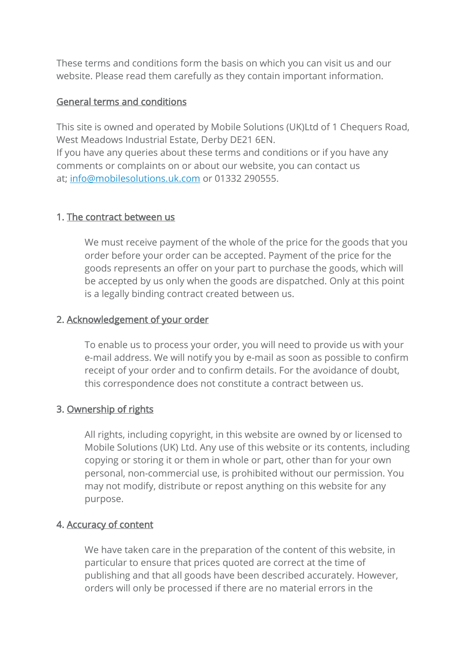These terms and conditions form the basis on which you can visit us and our website. Please read them carefully as they contain important information.

# General terms and conditions

This site is owned and operated by Mobile Solutions (UK)Ltd of 1 Chequers Road, West Meadows Industrial Estate, Derby DE21 6EN. If you have any queries about these terms and conditions or if you have any comments or complaints on or about our website, you can contact us at; [info@mobilesolutions.uk.com](mailto:info@mobilesolutions.uk.com) or 01332 290555.

# 1. The contract between us

We must receive payment of the whole of the price for the goods that you order before your order can be accepted. Payment of the price for the goods represents an offer on your part to purchase the goods, which will be accepted by us only when the goods are dispatched. Only at this point is a legally binding contract created between us.

# 2. Acknowledgement of your order

To enable us to process your order, you will need to provide us with your e-mail address. We will notify you by e-mail as soon as possible to confirm receipt of your order and to confirm details. For the avoidance of doubt, this correspondence does not constitute a contract between us.

# 3. Ownership of rights

All rights, including copyright, in this website are owned by or licensed to Mobile Solutions (UK) Ltd. Any use of this website or its contents, including copying or storing it or them in whole or part, other than for your own personal, non-commercial use, is prohibited without our permission. You may not modify, distribute or repost anything on this website for any purpose.

# 4. Accuracy of content

We have taken care in the preparation of the content of this website, in particular to ensure that prices quoted are correct at the time of publishing and that all goods have been described accurately. However, orders will only be processed if there are no material errors in the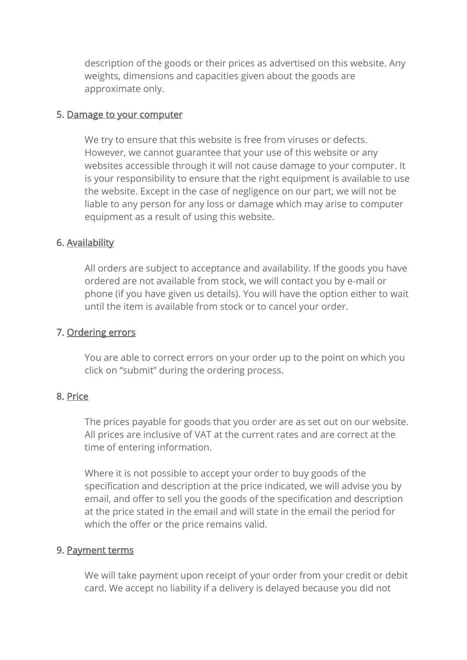description of the goods or their prices as advertised on this website. Any weights, dimensions and capacities given about the goods are approximate only.

#### 5. Damage to your computer

We try to ensure that this website is free from viruses or defects. However, we cannot guarantee that your use of this website or any websites accessible through it will not cause damage to your computer. It is your responsibility to ensure that the right equipment is available to use the website. Except in the case of negligence on our part, we will not be liable to any person for any loss or damage which may arise to computer equipment as a result of using this website.

# 6. Availability

All orders are subject to acceptance and availability. If the goods you have ordered are not available from stock, we will contact you by e-mail or phone (if you have given us details). You will have the option either to wait until the item is available from stock or to cancel your order.

### 7. Ordering errors

You are able to correct errors on your order up to the point on which you click on "submit" during the ordering process.

# 8. Price

The prices payable for goods that you order are as set out on our website. All prices are inclusive of VAT at the current rates and are correct at the time of entering information.

Where it is not possible to accept your order to buy goods of the specification and description at the price indicated, we will advise you by email, and offer to sell you the goods of the specification and description at the price stated in the email and will state in the email the period for which the offer or the price remains valid.

# 9. Payment terms

We will take payment upon receipt of your order from your credit or debit card. We accept no liability if a delivery is delayed because you did not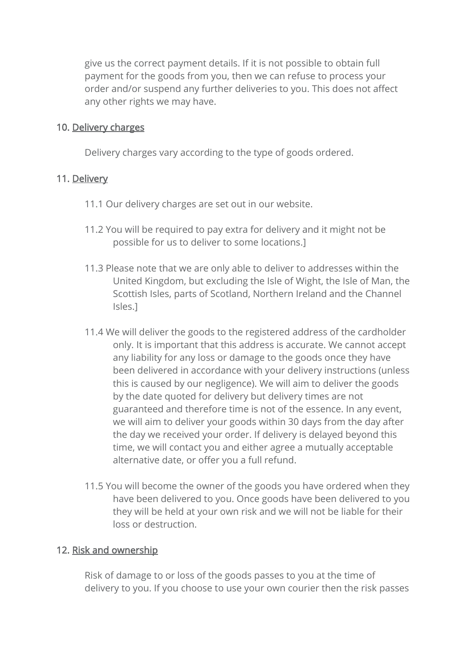give us the correct payment details. If it is not possible to obtain full payment for the goods from you, then we can refuse to process your order and/or suspend any further deliveries to you. This does not affect any other rights we may have.

### 10. Delivery charges

Delivery charges vary according to the type of goods ordered.

# 11. Delivery

- 11.1 Our delivery charges are set out in our website.
- 11.2 You will be required to pay extra for delivery and it might not be possible for us to deliver to some locations.]
- 11.3 Please note that we are only able to deliver to addresses within the United Kingdom, but excluding the Isle of Wight, the Isle of Man, the Scottish Isles, parts of Scotland, Northern Ireland and the Channel Isles.]
- 11.4 We will deliver the goods to the registered address of the cardholder only. It is important that this address is accurate. We cannot accept any liability for any loss or damage to the goods once they have been delivered in accordance with your delivery instructions (unless this is caused by our negligence). We will aim to deliver the goods by the date quoted for delivery but delivery times are not guaranteed and therefore time is not of the essence. In any event, we will aim to deliver your goods within 30 days from the day after the day we received your order. If delivery is delayed beyond this time, we will contact you and either agree a mutually acceptable alternative date, or offer you a full refund.
- 11.5 You will become the owner of the goods you have ordered when they have been delivered to you. Once goods have been delivered to you they will be held at your own risk and we will not be liable for their loss or destruction.

#### 12. Risk and ownership

Risk of damage to or loss of the goods passes to you at the time of delivery to you. If you choose to use your own courier then the risk passes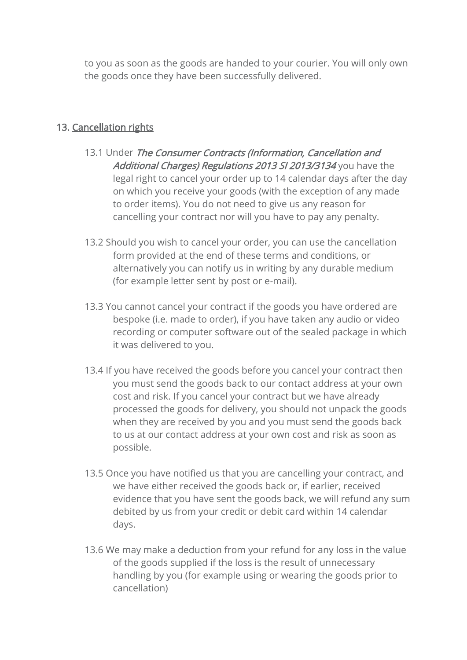to you as soon as the goods are handed to your courier. You will only own the goods once they have been successfully delivered.

# 13. Cancellation rights

- 13.1 Under The Consumer Contracts (Information, Cancellation and Additional Charges) Regulations 2013 SI 2013/3134 you have the legal right to cancel your order up to 14 calendar days after the day on which you receive your goods (with the exception of any made to order items). You do not need to give us any reason for cancelling your contract nor will you have to pay any penalty.
- 13.2 Should you wish to cancel your order, you can use the cancellation form provided at the end of these terms and conditions, or alternatively you can notify us in writing by any durable medium (for example letter sent by post or e-mail).
- 13.3 You cannot cancel your contract if the goods you have ordered are bespoke (i.e. made to order), if you have taken any audio or video recording or computer software out of the sealed package in which it was delivered to you.
- 13.4 If you have received the goods before you cancel your contract then you must send the goods back to our contact address at your own cost and risk. If you cancel your contract but we have already processed the goods for delivery, you should not unpack the goods when they are received by you and you must send the goods back to us at our contact address at your own cost and risk as soon as possible.
- 13.5 Once you have notified us that you are cancelling your contract, and we have either received the goods back or, if earlier, received evidence that you have sent the goods back, we will refund any sum debited by us from your credit or debit card within 14 calendar days.
- 13.6 We may make a deduction from your refund for any loss in the value of the goods supplied if the loss is the result of unnecessary handling by you (for example using or wearing the goods prior to cancellation)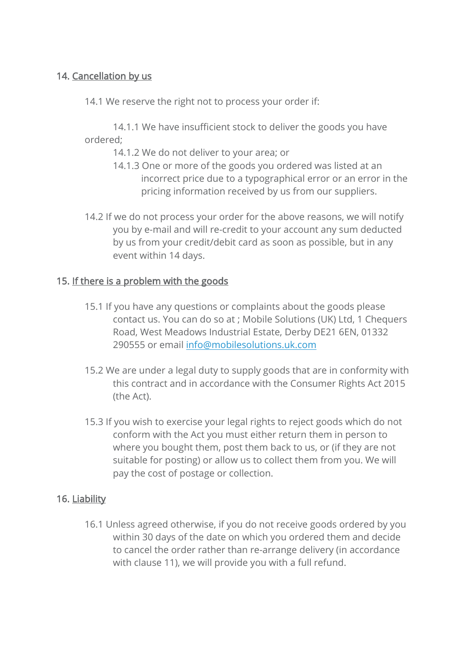# 14. Cancellation by us

14.1 We reserve the right not to process your order if:

14.1.1 We have insufficient stock to deliver the goods you have ordered;

- 14.1.2 We do not deliver to your area; or
- 14.1.3 One or more of the goods you ordered was listed at an incorrect price due to a typographical error or an error in the pricing information received by us from our suppliers.
- 14.2 If we do not process your order for the above reasons, we will notify you by e-mail and will re-credit to your account any sum deducted by us from your credit/debit card as soon as possible, but in any event within 14 days.

# 15. If there is a problem with the goods

- 15.1 If you have any questions or complaints about the goods please contact us. You can do so at ; Mobile Solutions (UK) Ltd, 1 Chequers Road, West Meadows Industrial Estate, Derby DE21 6EN, 01332 290555 or email [info@mobilesolutions.uk.com](mailto:info@mobilesolutions.uk.com)
- 15.2 We are under a legal duty to supply goods that are in conformity with this contract and in accordance with the Consumer Rights Act 2015 (the Act).
- 15.3 If you wish to exercise your legal rights to reject goods which do not conform with the Act you must either return them in person to where you bought them, post them back to us, or (if they are not suitable for posting) or allow us to collect them from you. We will pay the cost of postage or collection.

# 16. Liability

16.1 Unless agreed otherwise, if you do not receive goods ordered by you within 30 days of the date on which you ordered them and decide to cancel the order rather than re-arrange delivery (in accordance with clause 11), we will provide you with a full refund.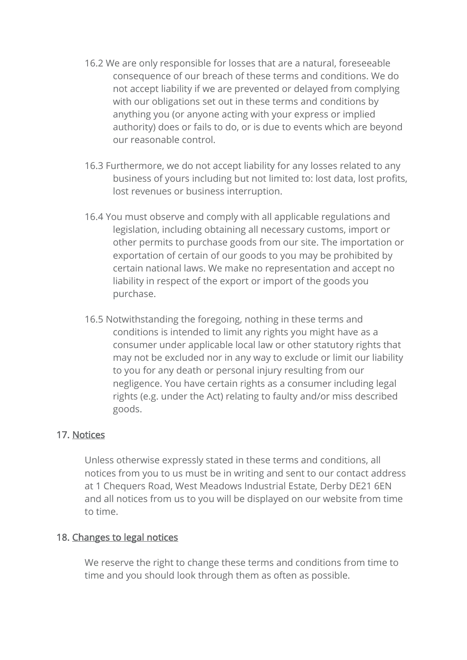- 16.2 We are only responsible for losses that are a natural, foreseeable consequence of our breach of these terms and conditions. We do not accept liability if we are prevented or delayed from complying with our obligations set out in these terms and conditions by anything you (or anyone acting with your express or implied authority) does or fails to do, or is due to events which are beyond our reasonable control.
- 16.3 Furthermore, we do not accept liability for any losses related to any business of yours including but not limited to: lost data, lost profits, lost revenues or business interruption.
- 16.4 You must observe and comply with all applicable regulations and legislation, including obtaining all necessary customs, import or other permits to purchase goods from our site. The importation or exportation of certain of our goods to you may be prohibited by certain national laws. We make no representation and accept no liability in respect of the export or import of the goods you purchase.
- 16.5 Notwithstanding the foregoing, nothing in these terms and conditions is intended to limit any rights you might have as a consumer under applicable local law or other statutory rights that may not be excluded nor in any way to exclude or limit our liability to you for any death or personal injury resulting from our negligence. You have certain rights as a consumer including legal rights (e.g. under the Act) relating to faulty and/or miss described goods.

# 17. Notices

Unless otherwise expressly stated in these terms and conditions, all notices from you to us must be in writing and sent to our contact address at 1 Chequers Road, West Meadows Industrial Estate, Derby DE21 6EN and all notices from us to you will be displayed on our website from time to time.

#### 18. Changes to legal notices

We reserve the right to change these terms and conditions from time to time and you should look through them as often as possible.